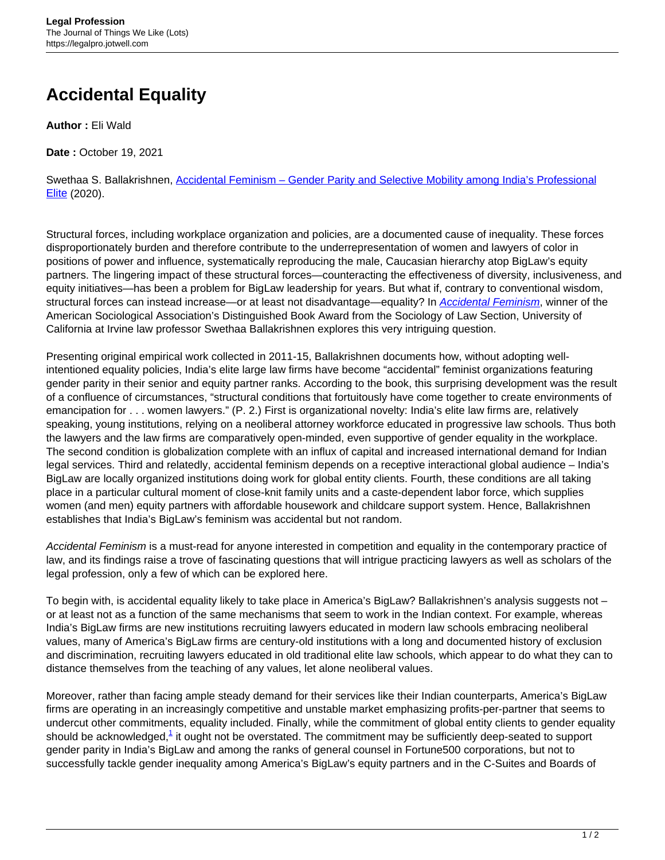## **Accidental Equality**

**Author :** Eli Wald

**Date :** October 19, 2021

Swethaa S. Ballakrishnen, [Accidental Feminism – Gender Parity and Selective Mobility among India's Professional](https://press.princeton.edu/books/paperback/9780691182537/accidental-feminism) [Elite](https://press.princeton.edu/books/paperback/9780691182537/accidental-feminism) (2020).

Structural forces, including workplace organization and policies, are a documented cause of inequality. These forces disproportionately burden and therefore contribute to the underrepresentation of women and lawyers of color in positions of power and influence, systematically reproducing the male, Caucasian hierarchy atop BigLaw's equity partners. The lingering impact of these structural forces—counteracting the effectiveness of diversity, inclusiveness, and equity initiatives—has been a problem for BigLaw leadership for years. But what if, contrary to conventional wisdom, structural forces can instead increase—or at least not disadvantage—equality? In [Accidental Feminism](https://press.princeton.edu/books/paperback/9780691182537/accidental-feminism), winner of the American Sociological Association's Distinguished Book Award from the Sociology of Law Section, University of California at Irvine law professor Swethaa Ballakrishnen explores this very intriguing question.

Presenting original empirical work collected in 2011-15, Ballakrishnen documents how, without adopting wellintentioned equality policies, India's elite large law firms have become "accidental" feminist organizations featuring gender parity in their senior and equity partner ranks. According to the book, this surprising development was the result of a confluence of circumstances, "structural conditions that fortuitously have come together to create environments of emancipation for . . . women lawyers." (P. 2.) First is organizational novelty: India's elite law firms are, relatively speaking, young institutions, relying on a neoliberal attorney workforce educated in progressive law schools. Thus both the lawyers and the law firms are comparatively open-minded, even supportive of gender equality in the workplace. The second condition is globalization complete with an influx of capital and increased international demand for Indian legal services. Third and relatedly, accidental feminism depends on a receptive interactional global audience – India's BigLaw are locally organized institutions doing work for global entity clients. Fourth, these conditions are all taking place in a particular cultural moment of close-knit family units and a caste-dependent labor force, which supplies women (and men) equity partners with affordable housework and childcare support system. Hence, Ballakrishnen establishes that India's BigLaw's feminism was accidental but not random.

Accidental Feminism is a must-read for anyone interested in competition and equality in the contemporary practice of law, and its findings raise a trove of fascinating questions that will intrigue practicing lawyers as well as scholars of the legal profession, only a few of which can be explored here.

To begin with, is accidental equality likely to take place in America's BigLaw? Ballakrishnen's analysis suggests not – or at least not as a function of the same mechanisms that seem to work in the Indian context. For example, whereas India's BigLaw firms are new institutions recruiting lawyers educated in modern law schools embracing neoliberal values, many of America's BigLaw firms are century-old institutions with a long and documented history of exclusion and discrimination, recruiting lawyers educated in old traditional elite law schools, which appear to do what they can to distance themselves from the teaching of any values, let alone neoliberal values.

Moreover, rather than facing ample steady demand for their services like their Indian counterparts, America's BigLaw firms are operating in an increasingly competitive and unstable market emphasizing profits-per-partner that seems to undercut other commitments, equality included. Finally, while the commitment of global entity clients to gender equality should be acknowledged,<sup>1</sup> it ought not be overstated. The commitment may be sufficiently deep-seated to support gender parity in India's BigLaw and among the ranks of general counsel in Fortune500 corporations, but not to successfully tackle gender inequality among America's BigLaw's equity partners and in the C-Suites and Boards of